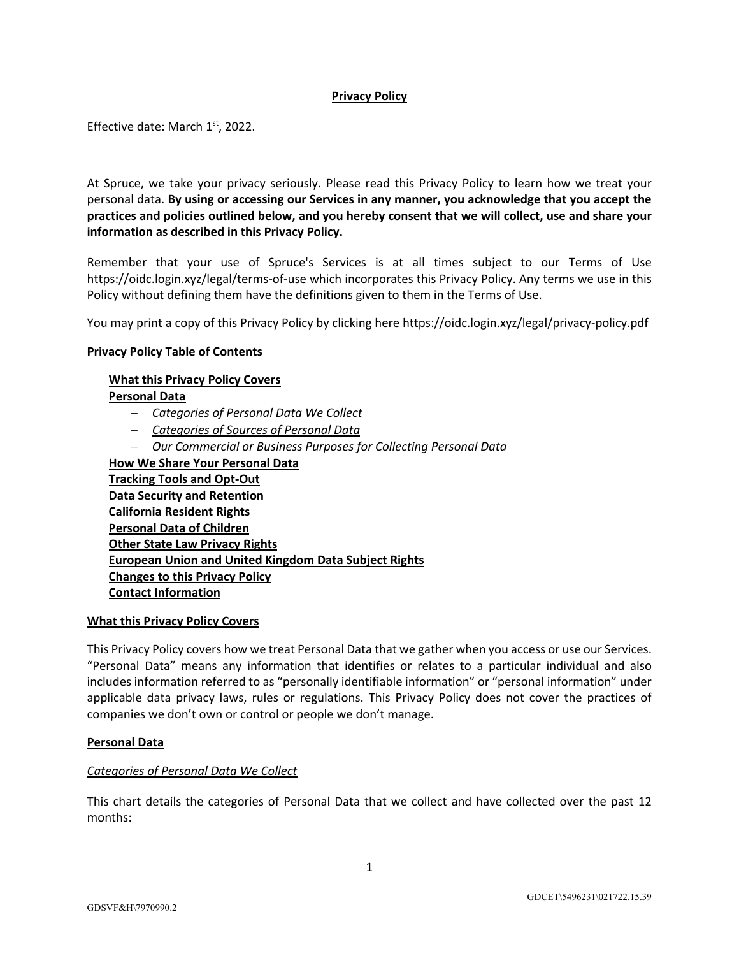# **Privacy Policy**

Effective date: March 1st, 2022.

At Spruce, we take your privacy seriously. Please read this Privacy Policy to learn how we treat your personal data. **By using or accessing our Services in any manner, you acknowledge that you accept the practices and policies outlined below, and you hereby consent that we will collect, use and share your information as described in this Privacy Policy.**

Remember that your use of Spruce's Services is at all times subject to our Terms of Use https://oidc.login.xyz/legal/terms-of-use which incorporates this Privacy Policy. Any terms we use in this Policy without defining them have the definitions given to them in the Terms of Use.

You may print a copy of this Privacy Policy by clicking here https://oidc.login.xyz/legal/privacy-policy.pdf

## **Privacy Policy Table of Contents**

## **What this Privacy Policy Covers**

**Personal Data**

- *Categories of Personal Data We Collect*
- *Categories of Sources of Personal Data*
- *Our Commercial or Business Purposes for Collecting Personal Data*

**How We Share Your Personal Data Tracking Tools and Opt-Out Data Security and Retention California Resident Rights Personal Data of Children Other State Law Privacy Rights European Union and United Kingdom Data Subject Rights Changes to this Privacy Policy Contact Information**

#### **What this Privacy Policy Covers**

This Privacy Policy covers how we treat Personal Data that we gather when you access or use our Services. "Personal Data" means any information that identifies or relates to a particular individual and also includes information referred to as "personally identifiable information" or "personal information" under applicable data privacy laws, rules or regulations. This Privacy Policy does not cover the practices of companies we don't own or control or people we don't manage.

#### **Personal Data**

# *Categories of Personal Data We Collect*

This chart details the categories of Personal Data that we collect and have collected over the past 12 months: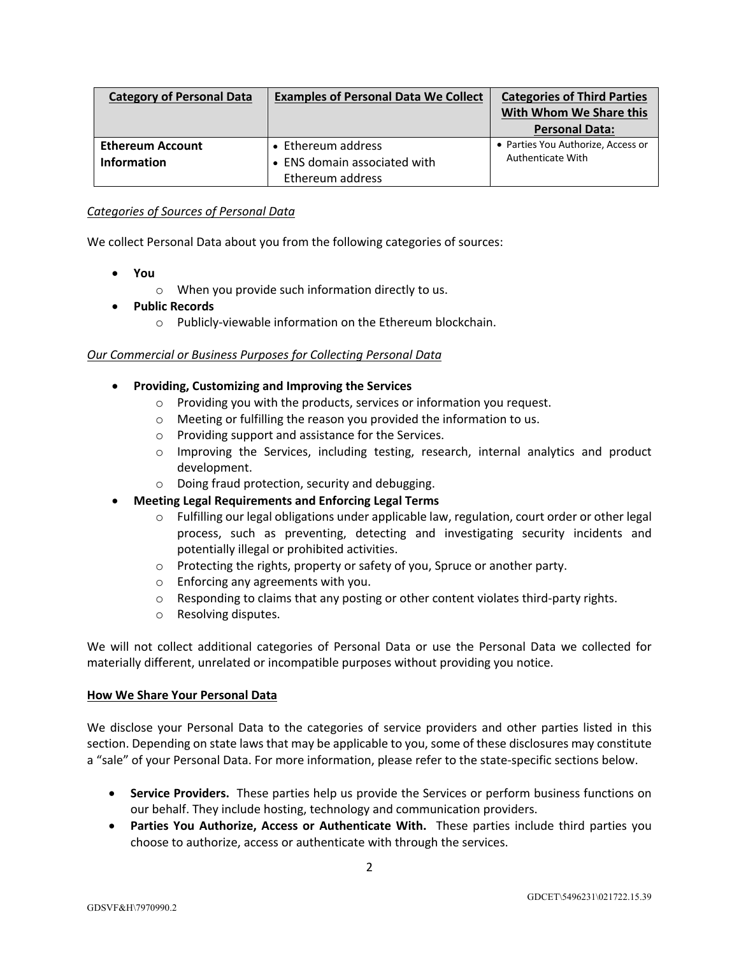| <b>Category of Personal Data</b>              | <b>Examples of Personal Data We Collect</b>        | <b>Categories of Third Parties</b><br>With Whom We Share this<br><b>Personal Data:</b> |
|-----------------------------------------------|----------------------------------------------------|----------------------------------------------------------------------------------------|
| <b>Ethereum Account</b><br><b>Information</b> | • Ethereum address<br>• ENS domain associated with | • Parties You Authorize, Access or<br>Authenticate With                                |
|                                               | Ethereum address                                   |                                                                                        |

## *Categories of Sources of Personal Data*

We collect Personal Data about you from the following categories of sources:

- **You**
	- o When you provide such information directly to us.
- **Public Records**
	- o Publicly-viewable information on the Ethereum blockchain.

## *Our Commercial or Business Purposes for Collecting Personal Data*

- **Providing, Customizing and Improving the Services**
	- o Providing you with the products, services or information you request.
	- o Meeting or fulfilling the reason you provided the information to us.
	- o Providing support and assistance for the Services.
	- o Improving the Services, including testing, research, internal analytics and product development.
	- o Doing fraud protection, security and debugging.
- **Meeting Legal Requirements and Enforcing Legal Terms**
	- o Fulfilling our legal obligations under applicable law, regulation, court order or other legal process, such as preventing, detecting and investigating security incidents and potentially illegal or prohibited activities.
	- o Protecting the rights, property or safety of you, Spruce or another party.
	- o Enforcing any agreements with you.
	- $\circ$  Responding to claims that any posting or other content violates third-party rights.
	- o Resolving disputes.

We will not collect additional categories of Personal Data or use the Personal Data we collected for materially different, unrelated or incompatible purposes without providing you notice.

#### **How We Share Your Personal Data**

We disclose your Personal Data to the categories of service providers and other parties listed in this section. Depending on state laws that may be applicable to you, some of these disclosures may constitute a "sale" of your Personal Data. For more information, please refer to the state-specific sections below.

- **Service Providers.** These parties help us provide the Services or perform business functions on our behalf. They include hosting, technology and communication providers.
- **Parties You Authorize, Access or Authenticate With.** These parties include third parties you choose to authorize, access or authenticate with through the services.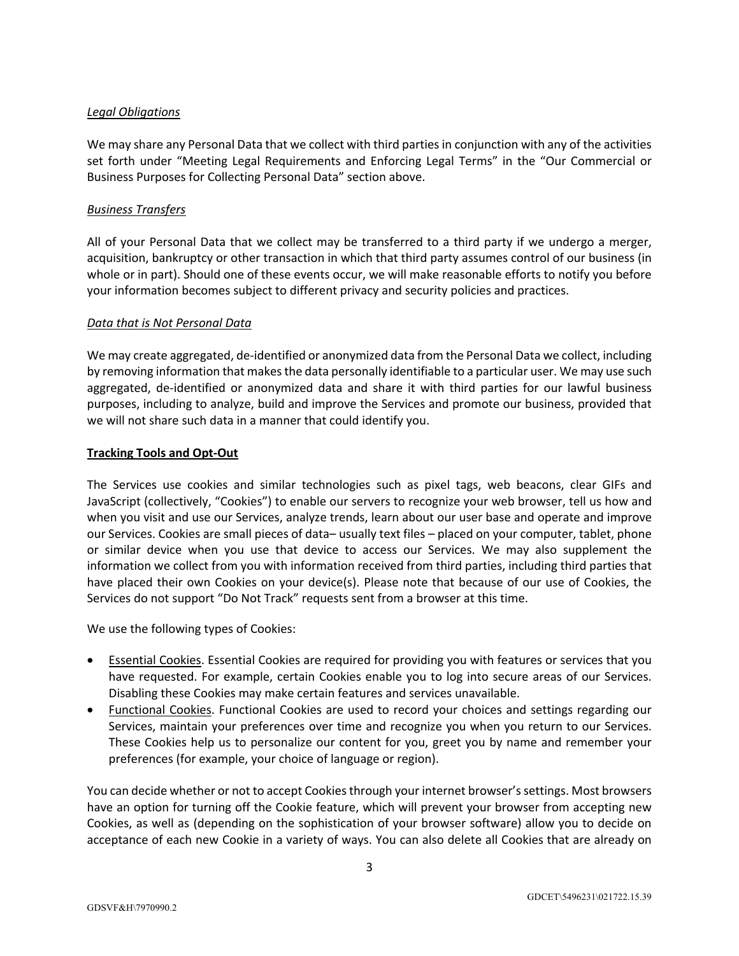# *Legal Obligations*

We may share any Personal Data that we collect with third parties in conjunction with any of the activities set forth under "Meeting Legal Requirements and Enforcing Legal Terms" in the "Our Commercial or Business Purposes for Collecting Personal Data" section above.

# *Business Transfers*

All of your Personal Data that we collect may be transferred to a third party if we undergo a merger, acquisition, bankruptcy or other transaction in which that third party assumes control of our business (in whole or in part). Should one of these events occur, we will make reasonable efforts to notify you before your information becomes subject to different privacy and security policies and practices.

# *Data that is Not Personal Data*

We may create aggregated, de-identified or anonymized data from the Personal Data we collect, including by removing information that makes the data personally identifiable to a particular user. We may use such aggregated, de-identified or anonymized data and share it with third parties for our lawful business purposes, including to analyze, build and improve the Services and promote our business, provided that we will not share such data in a manner that could identify you.

# **Tracking Tools and Opt-Out**

The Services use cookies and similar technologies such as pixel tags, web beacons, clear GIFs and JavaScript (collectively, "Cookies") to enable our servers to recognize your web browser, tell us how and when you visit and use our Services, analyze trends, learn about our user base and operate and improve our Services. Cookies are small pieces of data– usually text files – placed on your computer, tablet, phone or similar device when you use that device to access our Services. We may also supplement the information we collect from you with information received from third parties, including third parties that have placed their own Cookies on your device(s). Please note that because of our use of Cookies, the Services do not support "Do Not Track" requests sent from a browser at this time.

We use the following types of Cookies:

- Essential Cookies. Essential Cookies are required for providing you with features or services that you have requested. For example, certain Cookies enable you to log into secure areas of our Services. Disabling these Cookies may make certain features and services unavailable.
- Functional Cookies. Functional Cookies are used to record your choices and settings regarding our Services, maintain your preferences over time and recognize you when you return to our Services. These Cookies help us to personalize our content for you, greet you by name and remember your preferences (for example, your choice of language or region).

You can decide whether or not to accept Cookies through your internet browser's settings. Most browsers have an option for turning off the Cookie feature, which will prevent your browser from accepting new Cookies, as well as (depending on the sophistication of your browser software) allow you to decide on acceptance of each new Cookie in a variety of ways. You can also delete all Cookies that are already on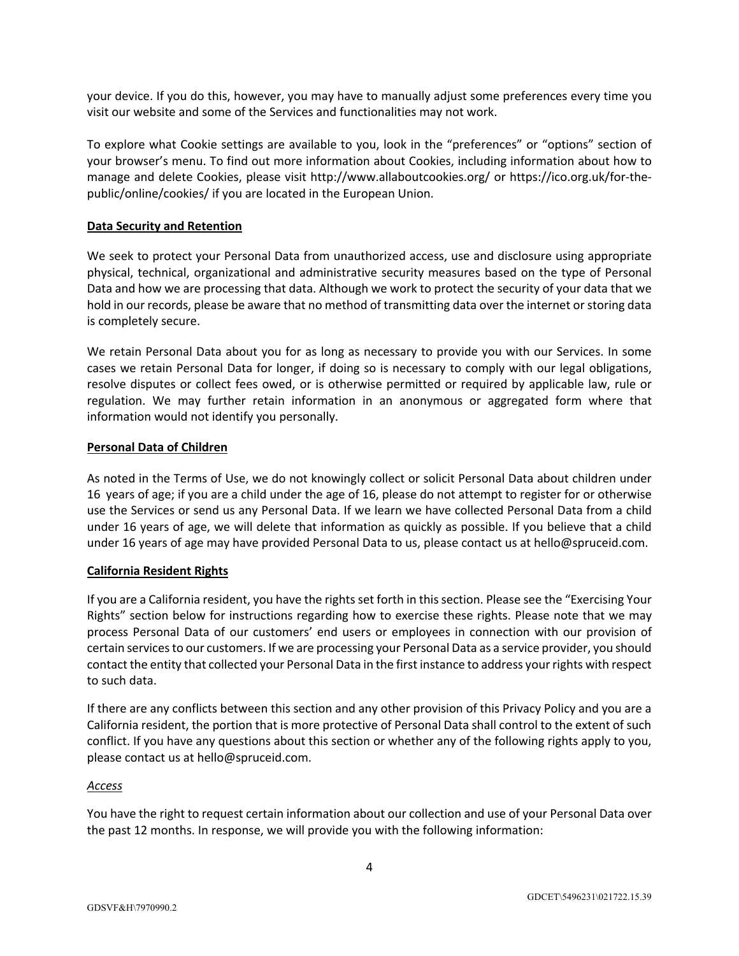your device. If you do this, however, you may have to manually adjust some preferences every time you visit our website and some of the Services and functionalities may not work.

To explore what Cookie settings are available to you, look in the "preferences" or "options" section of your browser's menu. To find out more information about Cookies, including information about how to manage and delete Cookies, please visit http://www.allaboutcookies.org/ or https://ico.org.uk/for-thepublic/online/cookies/ if you are located in the European Union.

## **Data Security and Retention**

We seek to protect your Personal Data from unauthorized access, use and disclosure using appropriate physical, technical, organizational and administrative security measures based on the type of Personal Data and how we are processing that data. Although we work to protect the security of your data that we hold in our records, please be aware that no method of transmitting data over the internet or storing data is completely secure.

We retain Personal Data about you for as long as necessary to provide you with our Services. In some cases we retain Personal Data for longer, if doing so is necessary to comply with our legal obligations, resolve disputes or collect fees owed, or is otherwise permitted or required by applicable law, rule or regulation. We may further retain information in an anonymous or aggregated form where that information would not identify you personally.

## **Personal Data of Children**

As noted in the Terms of Use, we do not knowingly collect or solicit Personal Data about children under 16 years of age; if you are a child under the age of 16, please do not attempt to register for or otherwise use the Services or send us any Personal Data. If we learn we have collected Personal Data from a child under 16 years of age, we will delete that information as quickly as possible. If you believe that a child under 16 years of age may have provided Personal Data to us, please contact us at hello@spruceid.com.

## **California Resident Rights**

If you are a California resident, you have the rights set forth in this section. Please see the "Exercising Your Rights" section below for instructions regarding how to exercise these rights. Please note that we may process Personal Data of our customers' end users or employees in connection with our provision of certain services to our customers. If we are processing your Personal Data as a service provider, you should contact the entity that collected your Personal Data in the first instance to address your rights with respect to such data.

If there are any conflicts between this section and any other provision of this Privacy Policy and you are a California resident, the portion that is more protective of Personal Data shall control to the extent of such conflict. If you have any questions about this section or whether any of the following rights apply to you, please contact us at hello@spruceid.com.

#### *Access*

You have the right to request certain information about our collection and use of your Personal Data over the past 12 months. In response, we will provide you with the following information: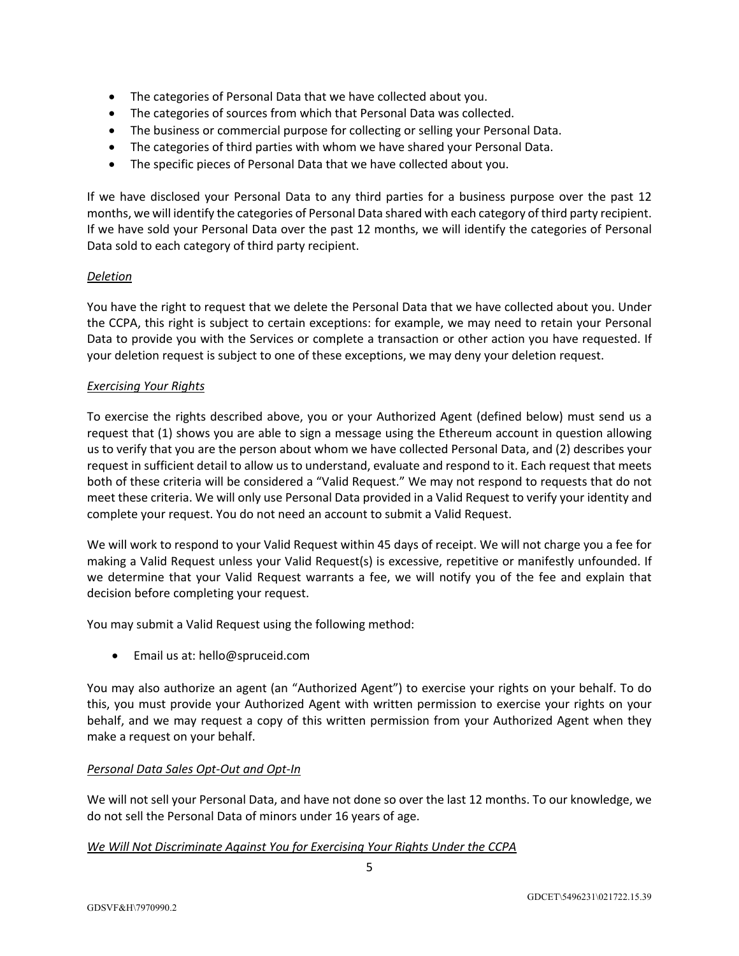- The categories of Personal Data that we have collected about you.
- The categories of sources from which that Personal Data was collected.
- The business or commercial purpose for collecting or selling your Personal Data.
- The categories of third parties with whom we have shared your Personal Data.
- The specific pieces of Personal Data that we have collected about you.

If we have disclosed your Personal Data to any third parties for a business purpose over the past 12 months, we will identify the categories of Personal Data shared with each category of third party recipient. If we have sold your Personal Data over the past 12 months, we will identify the categories of Personal Data sold to each category of third party recipient.

# *Deletion*

You have the right to request that we delete the Personal Data that we have collected about you. Under the CCPA, this right is subject to certain exceptions: for example, we may need to retain your Personal Data to provide you with the Services or complete a transaction or other action you have requested. If your deletion request is subject to one of these exceptions, we may deny your deletion request.

## *Exercising Your Rights*

To exercise the rights described above, you or your Authorized Agent (defined below) must send us a request that (1) shows you are able to sign a message using the Ethereum account in question allowing us to verify that you are the person about whom we have collected Personal Data, and (2) describes your request in sufficient detail to allow us to understand, evaluate and respond to it. Each request that meets both of these criteria will be considered a "Valid Request." We may not respond to requests that do not meet these criteria. We will only use Personal Data provided in a Valid Request to verify your identity and complete your request. You do not need an account to submit a Valid Request.

We will work to respond to your Valid Request within 45 days of receipt. We will not charge you a fee for making a Valid Request unless your Valid Request(s) is excessive, repetitive or manifestly unfounded. If we determine that your Valid Request warrants a fee, we will notify you of the fee and explain that decision before completing your request.

You may submit a Valid Request using the following method:

• Email us at: hello@spruceid.com

You may also authorize an agent (an "Authorized Agent") to exercise your rights on your behalf. To do this, you must provide your Authorized Agent with written permission to exercise your rights on your behalf, and we may request a copy of this written permission from your Authorized Agent when they make a request on your behalf.

# *Personal Data Sales Opt-Out and Opt-In*

We will not sell your Personal Data, and have not done so over the last 12 months. To our knowledge, we do not sell the Personal Data of minors under 16 years of age.

# *We Will Not Discriminate Against You for Exercising Your Rights Under the CCPA*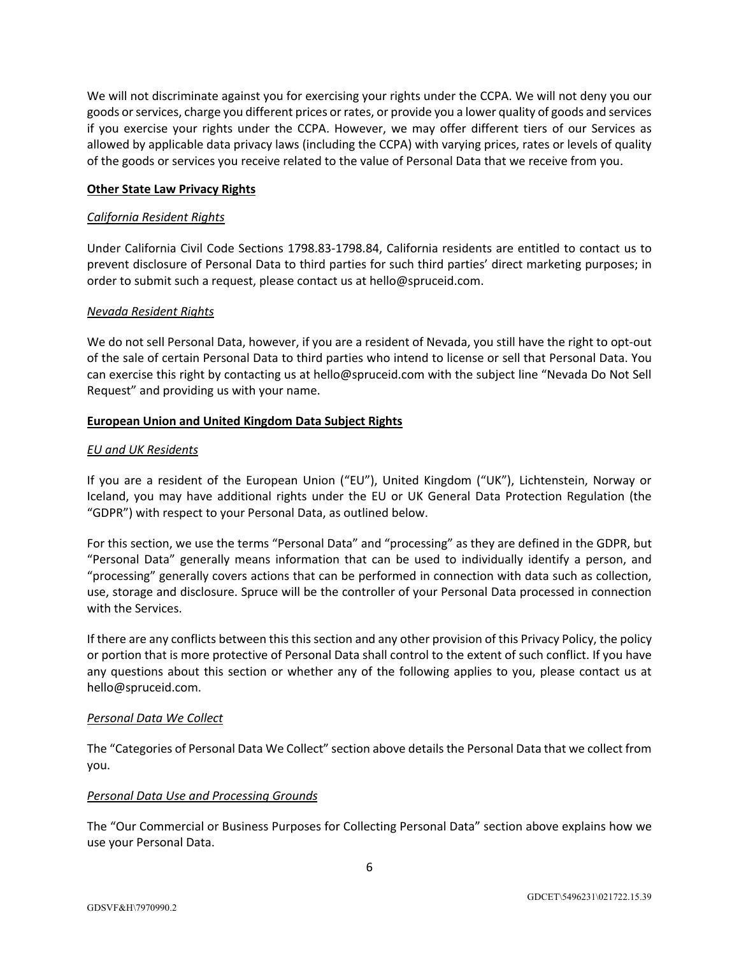We will not discriminate against you for exercising your rights under the CCPA. We will not deny you our goods or services, charge you different prices or rates, or provide you a lower quality of goods and services if you exercise your rights under the CCPA. However, we may offer different tiers of our Services as allowed by applicable data privacy laws (including the CCPA) with varying prices, rates or levels of quality of the goods or services you receive related to the value of Personal Data that we receive from you.

## **Other State Law Privacy Rights**

#### *California Resident Rights*

Under California Civil Code Sections 1798.83-1798.84, California residents are entitled to contact us to prevent disclosure of Personal Data to third parties for such third parties' direct marketing purposes; in order to submit such a request, please contact us at hello@spruceid.com.

## *Nevada Resident Rights*

We do not sell Personal Data, however, if you are a resident of Nevada, you still have the right to opt-out of the sale of certain Personal Data to third parties who intend to license or sell that Personal Data. You can exercise this right by contacting us at hello@spruceid.com with the subject line "Nevada Do Not Sell Request" and providing us with your name.

## **European Union and United Kingdom Data Subject Rights**

## *EU and UK Residents*

If you are a resident of the European Union ("EU"), United Kingdom ("UK"), Lichtenstein, Norway or Iceland, you may have additional rights under the EU or UK General Data Protection Regulation (the "GDPR") with respect to your Personal Data, as outlined below.

For this section, we use the terms "Personal Data" and "processing" as they are defined in the GDPR, but "Personal Data" generally means information that can be used to individually identify a person, and "processing" generally covers actions that can be performed in connection with data such as collection, use, storage and disclosure. Spruce will be the controller of your Personal Data processed in connection with the Services.

If there are any conflicts between this this section and any other provision of this Privacy Policy, the policy or portion that is more protective of Personal Data shall control to the extent of such conflict. If you have any questions about this section or whether any of the following applies to you, please contact us at hello@spruceid.com.

#### *Personal Data We Collect*

The "Categories of Personal Data We Collect" section above details the Personal Data that we collect from you.

#### *Personal Data Use and Processing Grounds*

The "Our Commercial or Business Purposes for Collecting Personal Data" section above explains how we use your Personal Data.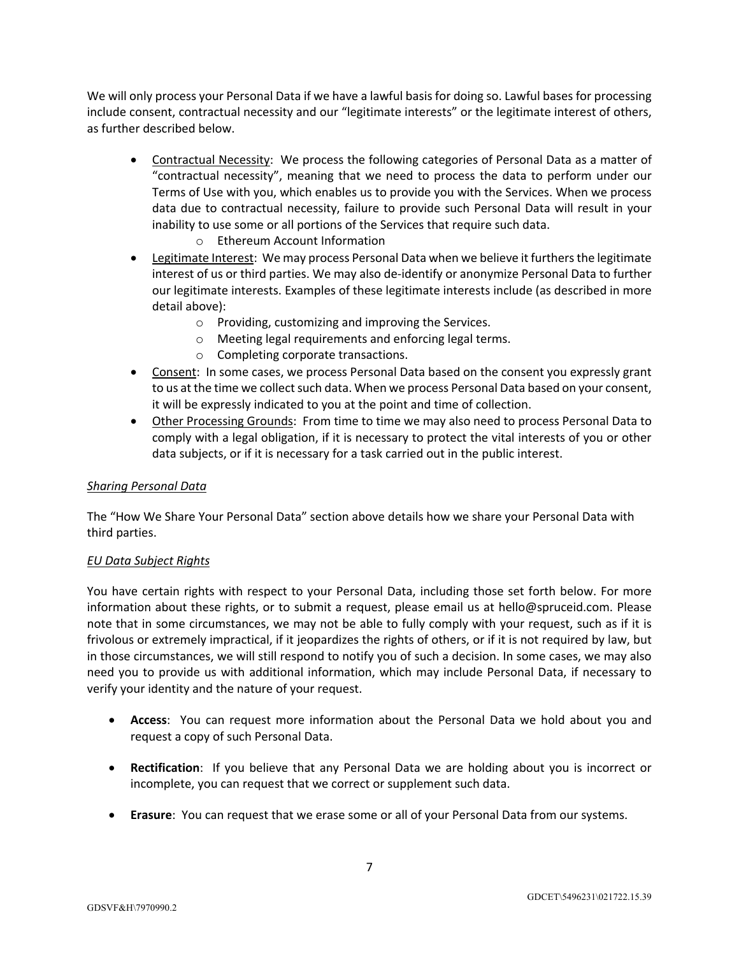We will only process your Personal Data if we have a lawful basis for doing so. Lawful bases for processing include consent, contractual necessity and our "legitimate interests" or the legitimate interest of others, as further described below.

- Contractual Necessity: We process the following categories of Personal Data as a matter of "contractual necessity", meaning that we need to process the data to perform under our Terms of Use with you, which enables us to provide you with the Services. When we process data due to contractual necessity, failure to provide such Personal Data will result in your inability to use some or all portions of the Services that require such data.
	- o Ethereum Account Information
- Legitimate Interest: We may process Personal Data when we believe it furthers the legitimate interest of us or third parties. We may also de-identify or anonymize Personal Data to further our legitimate interests. Examples of these legitimate interests include (as described in more detail above):
	- o Providing, customizing and improving the Services.
	- o Meeting legal requirements and enforcing legal terms.
	- o Completing corporate transactions.
- Consent: In some cases, we process Personal Data based on the consent you expressly grant to us at the time we collect such data. When we process Personal Data based on your consent, it will be expressly indicated to you at the point and time of collection.
- Other Processing Grounds: From time to time we may also need to process Personal Data to comply with a legal obligation, if it is necessary to protect the vital interests of you or other data subjects, or if it is necessary for a task carried out in the public interest.

#### *Sharing Personal Data*

The "How We Share Your Personal Data" section above details how we share your Personal Data with third parties.

#### *EU Data Subject Rights*

You have certain rights with respect to your Personal Data, including those set forth below. For more information about these rights, or to submit a request, please email us at hello@spruceid.com. Please note that in some circumstances, we may not be able to fully comply with your request, such as if it is frivolous or extremely impractical, if it jeopardizes the rights of others, or if it is not required by law, but in those circumstances, we will still respond to notify you of such a decision. In some cases, we may also need you to provide us with additional information, which may include Personal Data, if necessary to verify your identity and the nature of your request.

- **Access**: You can request more information about the Personal Data we hold about you and request a copy of such Personal Data.
- **Rectification**: If you believe that any Personal Data we are holding about you is incorrect or incomplete, you can request that we correct or supplement such data.
- **Erasure**: You can request that we erase some or all of your Personal Data from our systems.